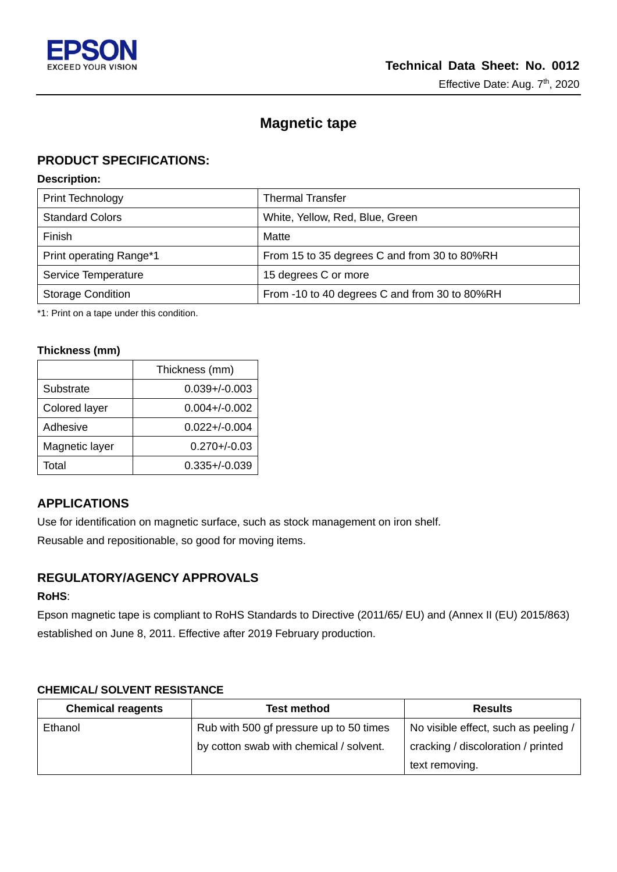

# **Magnetic tape**

# **PRODUCT SPECIFICATIONS:**

#### **Description:**

| Print Technology               | <b>Thermal Transfer</b>                       |
|--------------------------------|-----------------------------------------------|
| <b>Standard Colors</b>         | White, Yellow, Red, Blue, Green               |
| Finish                         | Matte                                         |
| <b>Print operating Range*1</b> | From 15 to 35 degrees C and from 30 to 80%RH  |
| Service Temperature            | 15 degrees C or more                          |
| <b>Storage Condition</b>       | From -10 to 40 degrees C and from 30 to 80%RH |

\*1: Print on a tape under this condition.

#### **Thickness (mm)**

|                | Thickness (mm)     |
|----------------|--------------------|
| Substrate      | $0.039 + / -0.003$ |
| Colored layer  | $0.004 + (-0.002)$ |
| Adhesive       | $0.022 + (-0.004)$ |
| Magnetic layer | $0.270 + (-0.03)$  |
| Total          | $0.335 + (-0.039)$ |

# **APPLICATIONS**

Use for identification on magnetic surface, such as stock management on iron shelf.

Reusable and repositionable, so good for moving items.

# **REGULATORY/AGENCY APPROVALS**

## **RoHS**:

Epson magnetic tape is compliant to RoHS Standards to Directive (2011/65/ EU) and (Annex II (EU) 2015/863) established on June 8, 2011. Effective after 2019 February production.

## **CHEMICAL/ SOLVENT RESISTANCE**

| <b>Chemical reagents</b> | <b>Test method</b>                      | <b>Results</b>                       |
|--------------------------|-----------------------------------------|--------------------------------------|
| Ethanol                  | Rub with 500 gf pressure up to 50 times | No visible effect, such as peeling / |
|                          | by cotton swab with chemical / solvent. | cracking / discoloration / printed   |
|                          |                                         | text removing.                       |